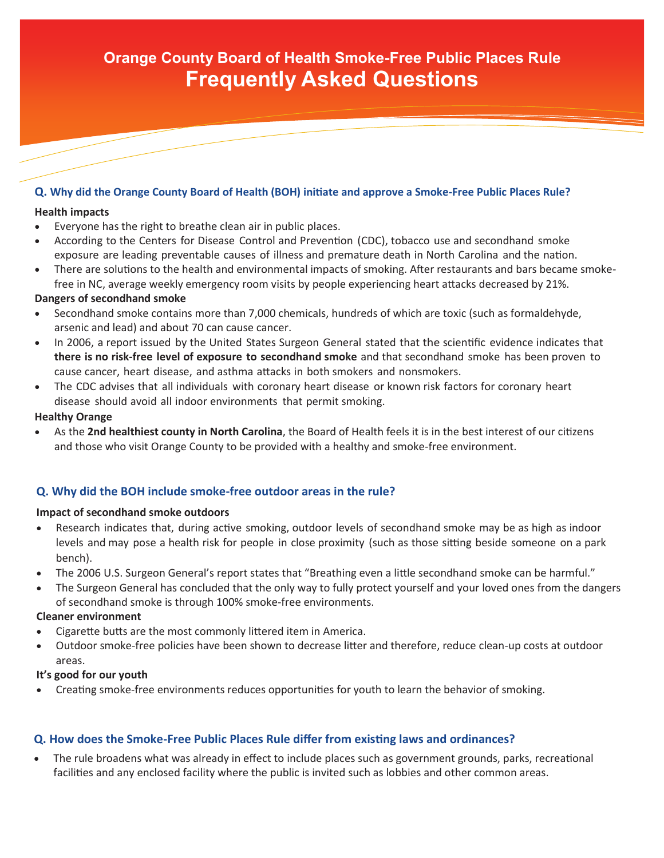# **Orange County Board of Health Smoke-Free Public Places Rule Frequently Asked Questions**

### **Q. Why did the Orange County Board of Health (BOH) initiate and approve a Smoke-Free Public Places Rule?**

#### **Health impacts**

- Everyone has the right to breathe clean air in public places.
- According to the Centers for Disease Control and Prevention (CDC), tobacco use and secondhand smoke exposure are leading preventable causes of illness and premature death in North Carolina and the nation.
- There are solutions to the health and environmental impacts of smoking. After restaurants and bars became smokefree in NC, average weekly emergency room visits by people experiencing heart attacks decreased by 21%.

#### **Dangers of secondhand smoke**

- Secondhand smoke contains more than 7,000 chemicals, hundreds of which are toxic (such as formaldehyde, arsenic and lead) and about 70 can cause cancer.
- In 2006, a report issued by the United States Surgeon General stated that the scientific evidence indicates that **there is no risk-free level of exposure to secondhand smoke** and that secondhand smoke has been proven to cause cancer, heart disease, and asthma attacks in both smokers and nonsmokers.
- The CDC advises that all individuals with coronary heart disease or known risk factors for coronary heart disease should avoid all indoor environments that permit smoking.

#### **Healthy Orange**

 As the **2nd healthiest county in North Carolina**, the Board of Health feels it is in the best interest of our citizens and those who visit Orange County to be provided with a healthy and smoke-free environment.

# **Q. Why did the BOH include smoke-free outdoor areas in the rule?**

#### **Impact of secondhand smoke outdoors**

- Research indicates that, during active smoking, outdoor levels of secondhand smoke may be as high as indoor levels and may pose a health risk for people in close proximity (such as those sitting beside someone on a park bench).
- The 2006 U.S. Surgeon General's report states that "Breathing even a little secondhand smoke can be harmful."
- The Surgeon General has concluded that the only way to fully protect yourself and your loved ones from the dangers of secondhand smoke is through 100% smoke-free environments.

#### **Cleaner environment**

- Cigarette butts are the most commonly littered item in America.
- Outdoor smoke-free policies have been shown to decrease litter and therefore, reduce clean-up costs at outdoor areas.

#### **It's good for our youth**

Creating smoke-free environments reduces opportunities for youth to learn the behavior of smoking.

# **Q. How does the Smoke-Free Public Places Rule differ from existing laws and ordinances?**

 The rule broadens what was already in effect to include places such as government grounds, parks, recreational facilities and any enclosed facility where the public is invited such as lobbies and other common areas.